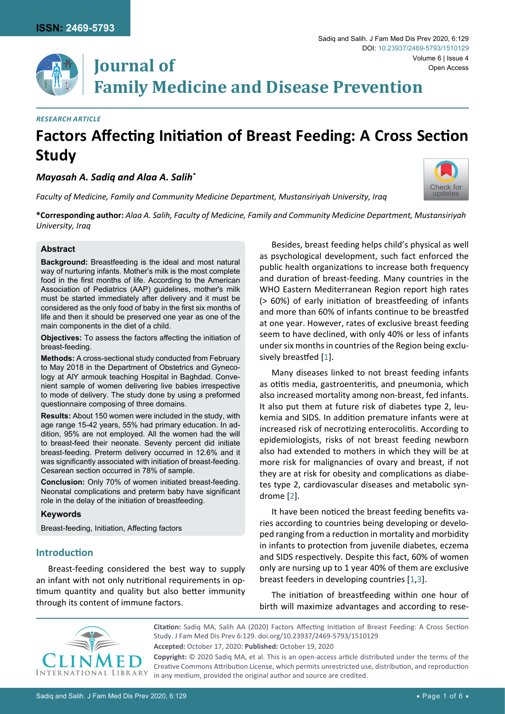

# **Volume 6 | Issue 4**<br>**IOUTNAl Of** Chen Access **Family Medicine and Disease Prevention**

#### *Research Article*

## **Factors Affecting Initiation of Breast Feeding: A Cross Section Study**

*Mayasah A. Sadiq and Alaa A. Salih\**

*Faculty of Medicine, Family and Community Medicine Department, Mustansiriyah University, Iraq*



**\*Corresponding author:** *Alaa A. Salih, Faculty of Medicine, Family and Community Medicine Department, Mustansiriyah University, Iraq*

#### **Abstract**

**Background:** Breastfeeding is the ideal and most natural way of nurturing infants. Mother's milk is the most complete food in the first months of life. According to the American Association of Pediatrics (AAP) guidelines, mother's milk must be started immediately after delivery and it must be considered as the only food of baby in the first six months of life and then it should be preserved one year as one of the main components in the diet of a child.

**Objectives:** To assess the factors affecting the initiation of breast-feeding.

**Methods:** A cross-sectional study conducted from February to May 2018 in the Department of Obstetrics and Gynecology at AlY armouk teaching Hospital in Baghdad. Convenient sample of women delivering live babies irrespective to mode of delivery. The study done by using a preformed questionnaire composing of three domains.

**Results:** About 150 women were included in the study, with age range 15-42 years, 55% had primary education. In addition, 95% are not employed. All the women had the will to breast-feed their neonate. Seventy percent did initiate breast-feeding. Preterm delivery occurred in 12.6% and it was significantly associated with initiation of breast-feeding. Cesarean section occurred in 78% of sample.

**Conclusion:** Only 70% of women initiated breast-feeding. Neonatal complications and preterm baby have significant role in the delay of the initiation of breastfeeding.

#### **Keywords**

Breast-feeding, Initiation, Affecting factors

## **Introduction**

Breast-feeding considered the best way to supply an infant with not only nutritional requirements in optimum quantity and quality but also better immunity through its content of immune factors.

Besides, breast feeding helps child's physical as well as psychological development, such fact enforced the public health organizations to increase both frequency and duration of breast-feeding. Many countries in the WHO Eastern Mediterranean Region report high rates (> 60%) of early initiation of breastfeeding of infants and more than 60% of infants continue to be breastfed at one year. However, rates of exclusive breast feeding seem to have declined, with only 40% or less of infants under six months in countries of the Region being exclusively breastfed [[1](#page-4-0)].

Many diseases linked to not breast feeding infants as otitis media, gastroenteritis, and pneumonia, which also increased mortality among non-breast, fed infants. It also put them at future risk of diabetes type 2, leukemia and SIDS. In addition premature infants were at increased risk of necrotizing enterocolitis. According to epidemiologists, risks of not breast feeding newborn also had extended to mothers in which they will be at more risk for malignancies of ovary and breast, if not they are at risk for obesity and complications as diabetes type 2, cardiovascular diseases and metabolic syndrome [[2](#page-4-1)].

It have been noticed the breast feeding benefits varies according to countries being developing or developed ranging from a reduction in mortality and morbidity in infants to protection from juvenile diabetes, eczema and SIDS respectively. Despite this fact, 60% of women only are nursing up to 1 year 40% of them are exclusive breast feeders in developing countries [\[1](#page-4-0),[3](#page-4-2)].

The initiation of breastfeeding within one hour of birth will maximize advantages and according to rese-

**INTERN** 

**Citation:** Sadiq MA, Salih AA (2020) Factors Affecting Initiation of Breast Feeding: A Cross Section Study. J Fam Med Dis Prev 6:129. [doi.org/10.23937/2469-5793/1510129](https://doi.org/10.23937/2469-5793/1510129) **Accepted:** October 17, 2020: **Published:** October 19, 2020

**Copyright:** © 2020 Sadiq MA, et al. This is an open-access article distributed under the terms of the Creative Commons Attribution License, which permits unrestricted use, distribution, and reproduction in any medium, provided the original author and source are credited.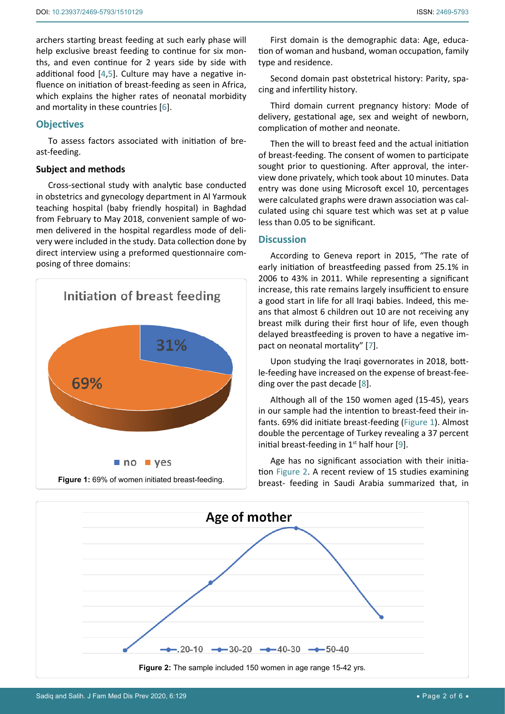archers starting breast feeding at such early phase will help exclusive breast feeding to continue for six months, and even continue for 2 years side by side with additional food [\[4](#page-4-3),[5\]](#page-4-4). Culture may have a negative influence on initiation of breast-feeding as seen in Africa, which explains the higher rates of neonatal morbidity and mortality in these countries [\[6](#page-4-5)].

## **Objectives**

To assess factors associated with initiation of breast-feeding.

## **Subject and methods**

Cross-sectional study with analytic base conducted in obstetrics and gynecology department in Al Yarmouk teaching hospital (baby friendly hospital) in Baghdad from February to May 2018, convenient sample of women delivered in the hospital regardless mode of delivery were included in the study. Data collection done by direct interview using a preformed questionnaire composing of three domains:

<span id="page-1-0"></span>

First domain is the demographic data: Age, education of woman and husband, woman occupation, family type and residence.

Second domain past obstetrical history: Parity, spacing and infertility history.

Third domain current pregnancy history: Mode of delivery, gestational age, sex and weight of newborn, complication of mother and neonate.

Then the will to breast feed and the actual initiation of breast-feeding. The consent of women to participate sought prior to questioning. After approval, the interview done privately, which took about 10 minutes. Data entry was done using Microsoft excel 10, percentages were calculated graphs were drawn association was calculated using chi square test which was set at p value less than 0.05 to be significant.

### **Discussion**

According to Geneva report in 2015, "The rate of early initiation of breastfeeding passed from 25.1% in 2006 to 43% in 2011. While representing a significant increase, this rate remains largely insufficient to ensure a good start in life for all Iraqi babies. Indeed, this means that almost 6 children out 10 are not receiving any breast milk during their first hour of life, even though delayed breastfeeding is proven to have a negative impact on neonatal mortality" [\[7](#page-4-6)].

Upon studying the Iraqi governorates in 2018, bottle-feeding have increased on the expense of breast-feeding over the past decade [\[8](#page-4-7)].

Although all of the 150 women aged (15-45), years in our sample had the intention to breast-feed their infants. 69% did initiate breast-feeding [\(Figure 1](#page-1-0)). Almost double the percentage of Turkey revealing a 37 percent initial breast-feeding in  $1<sup>st</sup>$  half hour [[9](#page-4-8)].

Age has no significant association with their initiation [Figure 2.](#page-1-1) A recent review of 15 studies examining breast- feeding in Saudi Arabia summarized that, in

<span id="page-1-1"></span>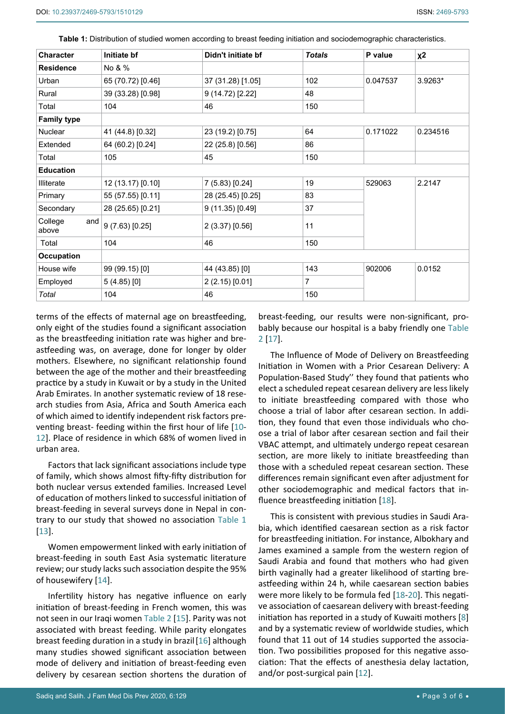| <b>Character</b>        | Initiate bf       | Didn't initiate bf | <b>Totals</b>  | P value  | χ2       |
|-------------------------|-------------------|--------------------|----------------|----------|----------|
| <b>Residence</b>        | No & %            |                    |                |          |          |
| Urban                   | 65 (70.72) [0.46] | 37 (31.28) [1.05]  | 102            | 0.047537 | 3.9263*  |
| Rural                   | 39 (33.28) [0.98] | 9 (14.72) [2.22]   | 48             |          |          |
| Total                   | 104               | 46                 | 150            |          |          |
| <b>Family type</b>      |                   |                    |                |          |          |
| Nuclear                 | 41 (44.8) [0.32]  | 23 (19.2) [0.75]   | 64             | 0.171022 | 0.234516 |
| Extended                | 64 (60.2) [0.24]  | 22 (25.8) [0.56]   | 86             |          |          |
| Total                   | 105               | 45                 | 150            |          |          |
| <b>Education</b>        |                   |                    |                |          |          |
| <b>Illiterate</b>       | 12 (13.17) [0.10] | 7 (5.83) [0.24]    | 19             | 529063   | 2.2147   |
| Primary                 | 55 (57.55) [0.11] | 28 (25.45) [0.25]  | 83             |          |          |
| Secondary               | 28 (25.65) [0.21] | 9 (11.35) [0.49]   | 37             |          |          |
| College<br>and<br>above | 9 (7.63) [0.25]   | 2 (3.37) [0.56]    | 11             |          |          |
| Total                   | 104               | 46                 | 150            |          |          |
| <b>Occupation</b>       |                   |                    |                |          |          |
| House wife              | 99 (99.15) [0]    | 44 (43.85) [0]     | 143            | 902006   | 0.0152   |
| Employed                | $5(4.85)$ [0]     | 2 (2.15) [0.01]    | $\overline{7}$ |          |          |
| Total                   | 104               | 46                 | 150            |          |          |

<span id="page-2-0"></span>**Table 1:** Distribution of studied women according to breast feeding initiation and sociodemographic characteristics.

terms of the effects of maternal age on breastfeeding, only eight of the studies found a significant association as the breastfeeding initiation rate was higher and breastfeeding was, on average, done for longer by older mothers. Elsewhere, no significant relationship found between the age of the mother and their breastfeeding practice by a study in Kuwait or by a study in the United Arab Emirates. In another systematic review of 18 research studies from Asia, Africa and South America each of which aimed to identify independent risk factors preventing breast- feeding within the first hour of life [\[10](#page-4-10)- [12\]](#page-4-9). Place of residence in which 68% of women lived in urban area.

Factors that lack significant associations include type of family, which shows almost fifty-fifty distribution for both nuclear versus extended families. Increased Level of education of mothers linked to successful initiation of breast-feeding in several surveys done in Nepal in contrary to our study that showed no association [Table 1](#page-2-0) [[13](#page-4-11)].

Women empowerment linked with early initiation of breast-feeding in south East Asia systematic literature review; our study lacks such association despite the 95% of housewifery [\[14](#page-4-12)].

Infertility history has negative influence on early initiation of breast-feeding in French women, this was not seen in our Iraqi women [Table 2](#page-3-0) [[15\]](#page-4-13). Parity was not associated with breast feeding. While parity elongates breast feeding duration in a study in brazil[[16](#page-4-14)] although many studies showed significant association between mode of delivery and initiation of breast-feeding even delivery by cesarean section shortens the duration of

breast-feeding, our results were non-significant, probably because our hospital is a baby friendly one [Table](#page-3-0)  [2](#page-3-0) [\[17](#page-5-0)].

The Influence of Mode of Delivery on Breastfeeding Initiation in Women with a Prior Cesarean Delivery: A Population-Based Study'' they found that patients who elect a scheduled repeat cesarean delivery are less likely to initiate breastfeeding compared with those who choose a trial of labor after cesarean section. In addition, they found that even those individuals who choose a trial of labor after cesarean section and fail their VBAC attempt, and ultimately undergo repeat cesarean section, are more likely to initiate breastfeeding than those with a scheduled repeat cesarean section. These differences remain significant even after adjustment for other sociodemographic and medical factors that influence breastfeeding initiation [\[18](#page-5-1)].

This is consistent with previous studies in Saudi Arabia, which identified caesarean section as a risk factor for breastfeeding initiation. For instance, Albokhary and James examined a sample from the western region of Saudi Arabia and found that mothers who had given birth vaginally had a greater likelihood of starting breastfeeding within 24 h, while caesarean section babies were more likely to be formula fed [[18-](#page-5-1)[20](#page-5-2)]. This negative association of caesarean delivery with breast-feeding initiation has reported in a study of Kuwaiti mothers [[8](#page-4-7)] and by a systematic review of worldwide studies, which found that 11 out of 14 studies supported the association. Two possibilities proposed for this negative association: That the effects of anesthesia delay lactation, and/or post-surgical pain [[12](#page-4-9)].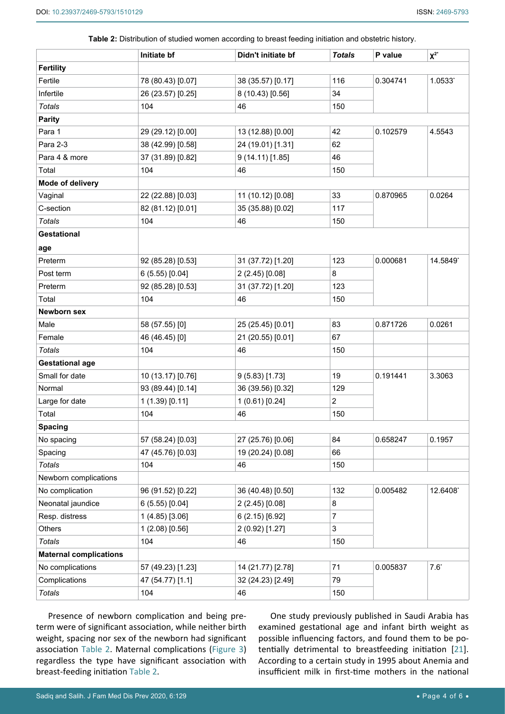<span id="page-3-0"></span>

| Table 2: Distribution of studied women according to breast feeding initiation and obstetric history. |  |  |
|------------------------------------------------------------------------------------------------------|--|--|
|------------------------------------------------------------------------------------------------------|--|--|

|                               | Initiate bf       | Didn't initiate bf | <b>Totals</b>  | P value  | $X^{2^*}$ |
|-------------------------------|-------------------|--------------------|----------------|----------|-----------|
| <b>Fertility</b>              |                   |                    |                |          |           |
| Fertile                       | 78 (80.43) [0.07] | 38 (35.57) [0.17]  | 116            | 0.304741 | 1.0533*   |
| Infertile                     | 26 (23.57) [0.25] | 8 (10.43) [0.56]   | 34             |          |           |
| <b>Totals</b>                 | 104               | 46                 | 150            |          |           |
| <b>Parity</b>                 |                   |                    |                |          |           |
| Para 1                        | 29 (29.12) [0.00] | 13 (12.88) [0.00]  | 42             | 0.102579 | 4.5543    |
| Para 2-3                      | 38 (42.99) [0.58] | 24 (19.01) [1.31]  | 62             |          |           |
| Para 4 & more                 | 37 (31.89) [0.82] | 9 (14.11) [1.85]   | 46             |          |           |
| Total                         | 104               | 46                 | 150            |          |           |
| Mode of delivery              |                   |                    |                |          |           |
| Vaginal                       | 22 (22.88) [0.03] | 11 (10.12) [0.08]  | 33             | 0.870965 | 0.0264    |
| C-section                     | 82 (81.12) [0.01] | 35 (35.88) [0.02]  | 117            |          |           |
| Totals                        | 104               | 46                 | 150            |          |           |
| <b>Gestational</b>            |                   |                    |                |          |           |
| age                           |                   |                    |                |          |           |
| Preterm                       | 92 (85.28) [0.53] | 31 (37.72) [1.20]  | 123            | 0.000681 | 14.5849*  |
| Post term                     | 6(5.55)[0.04]     | 2 (2.45) [0.08]    | 8              |          |           |
| Preterm                       | 92 (85.28) [0.53] | 31 (37.72) [1.20]  | 123            |          |           |
| Total                         | 104               | 46                 | 150            |          |           |
| <b>Newborn sex</b>            |                   |                    |                |          |           |
| Male                          | 58 (57.55) [0]    | 25 (25.45) [0.01]  | 83             | 0.871726 | 0.0261    |
| Female                        | 46 (46.45) [0]    | 21 (20.55) [0.01]  | 67             |          |           |
| Totals                        | 104               | 46                 | 150            |          |           |
| <b>Gestational age</b>        |                   |                    |                |          |           |
| Small for date                | 10 (13.17) [0.76] | $9(5.83)$ [1.73]   | 19             | 0.191441 | 3.3063    |
| Normal                        | 93 (89.44) [0.14] | 36 (39.56) [0.32]  | 129            |          |           |
| Large for date                | 1 (1.39) [0.11]   | 1 (0.61) [0.24]    | $\overline{2}$ |          |           |
| Total                         | 104               | 46                 | 150            |          |           |
| <b>Spacing</b>                |                   |                    |                |          |           |
| No spacing                    | 57 (58.24) [0.03] | 27 (25.76) [0.06]  | 84             | 0.658247 | 0.1957    |
| Spacing                       | 47 (45.76) [0.03] | 19 (20.24) [0.08]  | 66             |          |           |
| <b>Totals</b>                 | 104               | 46                 | 150            |          |           |
| Newborn complications         |                   |                    |                |          |           |
| No complication               | 96 (91.52) [0.22] | 36 (40.48) [0.50]  | 132            | 0.005482 | 12.6408*  |
| Neonatal jaundice             | 6 (5.55) [0.04]   | 2 (2.45) [0.08]    | 8              |          |           |
| Resp. distress                | $1(4.85)$ [3.06]  | 6(2.15)[6.92]      | $\overline{7}$ |          |           |
| Others                        | 1(2.08)[0.56]     | 2 (0.92) [1.27]    | 3              |          |           |
| <b>Totals</b>                 | 104               | 46                 | 150            |          |           |
| <b>Maternal complications</b> |                   |                    |                |          |           |
| No complications              | 57 (49.23) [1.23] | 14 (21.77) [2.78]  | 71             | 0.005837 | $7.6^*$   |
| Complications                 | 47 (54.77) [1.1]  | 32 (24.23) [2.49]  | 79             |          |           |
| <b>Totals</b>                 | 104               | 46                 | 150            |          |           |
|                               |                   |                    |                |          |           |

Presence of newborn complication and being preterm were of significant association, while neither birth weight, spacing nor sex of the newborn had significant association [Table 2.](#page-3-0) Maternal complications [\(Figure 3](#page-4-15)) regardless the type have significant association with breast-feeding initiation [Table 2](#page-3-0).

One study previously published in Saudi Arabia has examined gestational age and infant birth weight as possible influencing factors, and found them to be potentially detrimental to breastfeeding initiation [\[21](#page-5-3)]. According to a certain study in 1995 about Anemia and insufficient milk in first-time mothers in the national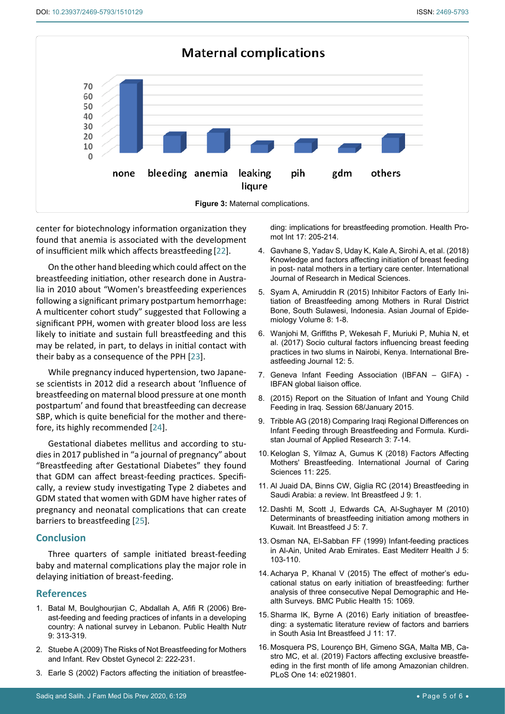<span id="page-4-15"></span>

center for biotechnology information organization they found that anemia is associated with the development of insufficient milk which affects breastfeeding [[22](#page-5-4)].

On the other hand bleeding which could affect on the breastfeeding initiation, other research done in Australia in 2010 about "Women's breastfeeding experiences following a significant primary postpartum hemorrhage: A multicenter cohort study" suggested that Following a significant PPH, women with greater blood loss are less likely to initiate and sustain full breastfeeding and this may be related, in part, to delays in initial contact with their baby as a consequence of the PPH [[23](#page-5-5)].

While pregnancy induced hypertension, two Japanese scientists in 2012 did a research about 'Influence of breastfeeding on maternal blood pressure at one month postpartum' and found that breastfeeding can decrease SBP, which is quite beneficial for the mother and therefore, its highly recommended [[24](#page-5-6)].

Gestational diabetes mellitus and according to studies in 2017 published in "a journal of pregnancy" about "Breastfeeding after Gestational Diabetes" they found that GDM can affect breast-feeding practices. Specifically, a review study investigating Type 2 diabetes and GDM stated that women with GDM have higher rates of pregnancy and neonatal complications that can create barriers to breastfeeding [\[25](#page-5-7)].

#### **Conclusion**

Three quarters of sample initiated breast-feeding baby and maternal complications play the major role in delaying initiation of breast-feeding.

## **References**

- <span id="page-4-0"></span>1. [Batal M, Boulghourjian C, Abdallah A, Afifi R \(2006\) Bre](https://pubmed.ncbi.nlm.nih.gov/16684382/)[ast-feeding and feeding practices of infants in a developing](https://pubmed.ncbi.nlm.nih.gov/16684382/)  [country: A national survey in Lebanon. Public Health Nutr](https://pubmed.ncbi.nlm.nih.gov/16684382/)  [9: 313-319.](https://pubmed.ncbi.nlm.nih.gov/16684382/)
- <span id="page-4-1"></span>2. [Stuebe A \(2009\) The Risks of Not Breastfeeding for Mothers](https://www.ncbi.nlm.nih.gov/pmc/articles/PMC2812877/)  [and Infant. Rev Obstet Gynecol 2: 222-231.](https://www.ncbi.nlm.nih.gov/pmc/articles/PMC2812877/)
- <span id="page-4-2"></span>3. [Earle S \(2002\) Factors affecting the initiation of breastfee](https://pubmed.ncbi.nlm.nih.gov/12147635/)-

[ding: implications for breastfeeding promotion.](https://pubmed.ncbi.nlm.nih.gov/12147635/) Health Pro[mot Int 17: 205-214.](https://pubmed.ncbi.nlm.nih.gov/12147635/)

- <span id="page-4-3"></span>4. [Gavhane S, Yadav S, Uday K, Kale A, Sirohi A, et al. \(2018\)](https://www.msjonline.org/index.php/ijrms/article/view/4516)  [Knowledge and factors affecting initiation of breast feeding](https://www.msjonline.org/index.php/ijrms/article/view/4516)  [in post- natal mothers in a tertiary care center. International](https://www.msjonline.org/index.php/ijrms/article/view/4516)  [Journal of Research in Medical Sciences.](https://www.msjonline.org/index.php/ijrms/article/view/4516)
- <span id="page-4-4"></span>5. [Syam A, Amiruddin R \(2015\) Inhibitor Factors of Early Ini](https://scialert.net/abstract/?doi=aje.2015.1.8)[tiation of Breastfeeding among Mothers in Rural District](https://scialert.net/abstract/?doi=aje.2015.1.8)  [Bone, South Sulawesi, Indonesia. Asian Journal of Epide](https://scialert.net/abstract/?doi=aje.2015.1.8)[miology Volume 8: 1-8.](https://scialert.net/abstract/?doi=aje.2015.1.8)
- <span id="page-4-5"></span>6. [Wanjohi M, Griffiths P, Wekesah F, Muriuki P, Muhia N, et](https://internationalbreastfeedingjournal.biomedcentral.com/articles/10.1186/s13006-016-0092-7)  [al. \(2017\) Socio cultural factors influencing breast feeding](https://internationalbreastfeedingjournal.biomedcentral.com/articles/10.1186/s13006-016-0092-7)  [practices in two slums in Nairobi, Kenya. International Bre](https://internationalbreastfeedingjournal.biomedcentral.com/articles/10.1186/s13006-016-0092-7)[astfeeding Journal 12: 5.](https://internationalbreastfeedingjournal.biomedcentral.com/articles/10.1186/s13006-016-0092-7)
- <span id="page-4-6"></span>7. [Geneva Infant Feeding Association \(IBFAN – GIFA\) -](https://www.geneve-int.ch/index.php/geneva-infant-feeding-association-international-baby-food-action-network-ibfan-gifa-0)  [IBFAN global liaison office.](https://www.geneve-int.ch/index.php/geneva-infant-feeding-association-international-baby-food-action-network-ibfan-gifa-0)
- <span id="page-4-7"></span>8. [\(2015\) Report on the Situation of Infant and Young Child](https://tbinternet.ohchr.org/Treaties/CRC/Shared Documents/IRQ/INT_CRC_NGO_IRQ_19081_E.pdf)  [Feeding in Iraq. Session 68/January 2015.](https://tbinternet.ohchr.org/Treaties/CRC/Shared Documents/IRQ/INT_CRC_NGO_IRQ_19081_E.pdf)
- <span id="page-4-8"></span>9. [Tribble AG \(2018\) Comparing Iraqi Regional Differences on](http://kjar.spu.edu.iq/index.php/kjar/article/view/189)  [Infant Feeding through Breastfeeding and Formula. Kurdi](http://kjar.spu.edu.iq/index.php/kjar/article/view/189)[stan Journal of Applied Research 3: 7-14.](http://kjar.spu.edu.iq/index.php/kjar/article/view/189)
- <span id="page-4-10"></span>10. [Keloglan S, Yilmaz A, Gumus K \(2018\) Factors Affecting](http://www.internationaljournalofcaringsciences.org/docs/25_keloglan_original_11_1.pdf)  [Mothers' Breastfeeding. International Journal of Caring](http://www.internationaljournalofcaringsciences.org/docs/25_keloglan_original_11_1.pdf)  [Sciences 11: 225.](http://www.internationaljournalofcaringsciences.org/docs/25_keloglan_original_11_1.pdf)
- 11. [Al Juaid DA, Binns CW, Giglia RC \(2014\) Breastfeeding in](https://www.ncbi.nlm.nih.gov/pmc/articles/PMC3896745/)  [Saudi Arabia: a review. Int Breastfeed J 9: 1.](https://www.ncbi.nlm.nih.gov/pmc/articles/PMC3896745/)
- <span id="page-4-9"></span>12. [Dashti M, Scott J, Edwards CA, Al-Sughayer M \(2010\)](https://pubmed.ncbi.nlm.nih.gov/20667112/)  [Determinants of breastfeeding initiation among mothers in](https://pubmed.ncbi.nlm.nih.gov/20667112/)  [Kuwait. Int Breastfeed J 5: 7.](https://pubmed.ncbi.nlm.nih.gov/20667112/)
- <span id="page-4-11"></span>13. [Osman NA, El-Sabban FF \(1999\) Infant-feeding practices](https://apps.who.int/iris/handle/10665/118689)  [in Al-Ain, United Arab Emirates. East Mediterr Health J 5:](https://apps.who.int/iris/handle/10665/118689)  [103-110.](https://apps.who.int/iris/handle/10665/118689)
- <span id="page-4-12"></span>14. [Acharya P, Khanal V \(2015\) The effect of mother's edu](https://bmcpublichealth.biomedcentral.com/articles/10.1186/s12889-015-2405-y)[cational status on early initiation of breastfeeding: further](https://bmcpublichealth.biomedcentral.com/articles/10.1186/s12889-015-2405-y)  [analysis of three consecutive Nepal Demographic and He](https://bmcpublichealth.biomedcentral.com/articles/10.1186/s12889-015-2405-y)[alth Surveys. BMC Public Health](https://bmcpublichealth.biomedcentral.com/articles/10.1186/s12889-015-2405-y) 15: 1069.
- <span id="page-4-13"></span>15. [Sharma IK, Byrne A \(2016\) Early initiation of breastfee](https://www.ncbi.nlm.nih.gov/pmc/articles/PMC4912741/)[ding: a systematic literature review of factors and barriers](https://www.ncbi.nlm.nih.gov/pmc/articles/PMC4912741/)  [in South Asia Int Breastfeed J 11: 17.](https://www.ncbi.nlm.nih.gov/pmc/articles/PMC4912741/)
- <span id="page-4-14"></span>16. [Mosquera PS, Lourenço BH, Gimeno SGA, Malta MB, Ca](https://pubmed.ncbi.nlm.nih.gov/31295320/)[stro MC, et al. \(2019\) Factors affecting exclusive breastfe](https://pubmed.ncbi.nlm.nih.gov/31295320/)[eding in the first month of life among Amazonian children.](https://pubmed.ncbi.nlm.nih.gov/31295320/)  [PLoS One 14: e0219801.](https://pubmed.ncbi.nlm.nih.gov/31295320/)